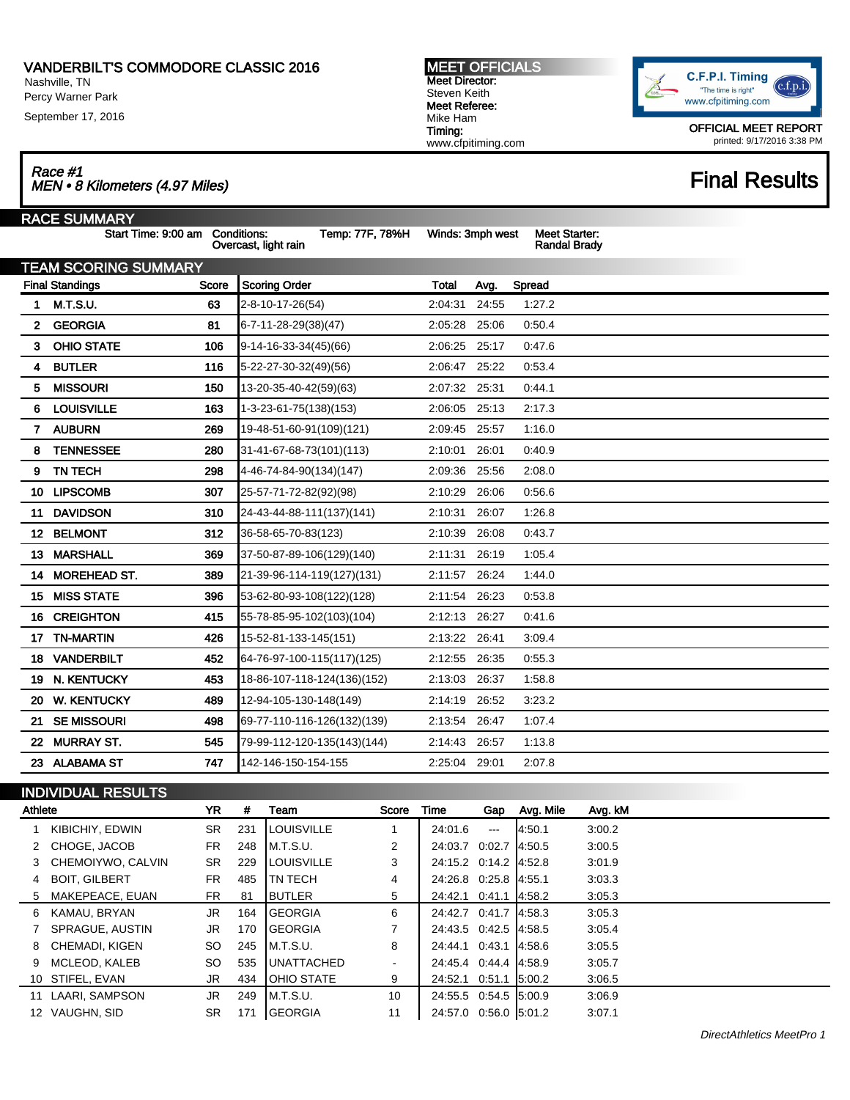Nashville, TN Percy Warner Park

September 17, 2016

 $\overline{\mathbf{r}}$ 

### MEET OFFICIALS Meet Director: Steven Keith Meet Referee: Mike Ham Timing: www.cfpitiming.com



OFFICIAL MEET REPORT printed: 9/17/2016 3:38 PM

Race #1<br>MEN • 8 Kilometers (4.97 Miles) Final Results

|              | RACE SUMMARY                    |       |                                         |                  |       |                                             |  |
|--------------|---------------------------------|-------|-----------------------------------------|------------------|-------|---------------------------------------------|--|
|              | Start Time: 9:00 am Conditions: |       | Temp: 77F, 78%H<br>Overcast, light rain | Winds: 3mph west |       | <b>Meet Starter:</b><br><b>Randal Brady</b> |  |
|              | <b>TEAM SCORING SUMMARY</b>     |       |                                         |                  |       |                                             |  |
|              | <b>Final Standings</b>          | Score | <b>Scoring Order</b>                    | <b>Total</b>     | Avg.  | Spread                                      |  |
| 1.           | <b>M.T.S.U.</b>                 | 63    | 2-8-10-17-26(54)                        | 2:04:31          | 24:55 | 1:27.2                                      |  |
| $\mathbf{2}$ | <b>GEORGIA</b>                  | 81    | 6-7-11-28-29(38)(47)                    | 2:05:28          | 25:06 | 0:50.4                                      |  |
| 3.           | <b>OHIO STATE</b>               | 106   | $9-14-16-33-34(45)(66)$                 | 2:06:25          | 25:17 | 0.47.6                                      |  |
| 4            | <b>BUTLER</b>                   | 116   | 5-22-27-30-32(49)(56)                   | 2:06:47          | 25:22 | 0:53.4                                      |  |
| 5.           | <b>MISSOURI</b>                 | 150   | 13-20-35-40-42(59)(63)                  | 2:07:32 25:31    |       | 0.44.1                                      |  |
| 6            | <b>LOUISVILLE</b>               | 163   | 1-3-23-61-75(138)(153)                  | 2:06:05          | 25:13 | 2:17.3                                      |  |
| 7            | <b>AUBURN</b>                   | 269   | 19-48-51-60-91(109)(121)                | 2:09:45          | 25:57 | 1:16.0                                      |  |
| 8            | <b>TENNESSEE</b>                | 280   | 31-41-67-68-73(101)(113)                | 2:10:01          | 26:01 | 0:40.9                                      |  |
| 9            | <b>TN TECH</b>                  | 298   | 4-46-74-84-90(134)(147)                 | 2:09:36          | 25:56 | 2:08.0                                      |  |
|              | 10 LIPSCOMB                     | 307   | 25-57-71-72-82(92)(98)                  | 2:10:29          | 26:06 | 0:56.6                                      |  |
| 11           | <b>DAVIDSON</b>                 | 310   | 24-43-44-88-111(137)(141)               | 2:10:31          | 26:07 | 1:26.8                                      |  |
|              | 12 BELMONT                      | 312   | 36-58-65-70-83(123)                     | 2:10:39          | 26:08 | 0.43.7                                      |  |
|              | 13 MARSHALL                     | 369   | 37-50-87-89-106(129)(140)               | 2:11:31          | 26:19 | 1:05.4                                      |  |
| 14           | <b>MOREHEAD ST.</b>             | 389   | 21-39-96-114-119(127)(131)              | 2:11:57          | 26:24 | 1:44.0                                      |  |
| 15.          | <b>MISS STATE</b>               | 396   | 53-62-80-93-108(122)(128)               | 2:11:54          | 26:23 | 0:53.8                                      |  |
| 16           | <b>CREIGHTON</b>                | 415   | 55-78-85-95-102(103)(104)               | 2:12:13          | 26:27 | 0.41.6                                      |  |
| 17           | <b>TN-MARTIN</b>                | 426   | 15-52-81-133-145(151)                   | 2:13:22 26:41    |       | 3:09.4                                      |  |
| 18.          | <b>VANDERBILT</b>               | 452   | 64-76-97-100-115(117)(125)              | 2:12:55          | 26:35 | 0:55.3                                      |  |
| 19.          | N. KENTUCKY                     | 453   | 18-86-107-118-124(136)(152)             | 2:13:03          | 26:37 | 1:58.8                                      |  |
| 20           | <b>W. KENTUCKY</b>              | 489   | 12-94-105-130-148(149)                  | 2:14:19          | 26:52 | 3:23.2                                      |  |
| 21           | <b>SE MISSOURI</b>              | 498   | 69-77-110-116-126(132)(139)             | 2:13:54          | 26:47 | 1:07.4                                      |  |
| 22           | <b>MURRAY ST.</b>               | 545   | 79-99-112-120-135(143)(144)             | 2:14:43          | 26:57 | 1:13.8                                      |  |
|              | 23 ALABAMA ST                   | 747   | 142-146-150-154-155                     | 2:25:04 29:01    |       | 2:07.8                                      |  |
|              |                                 |       |                                         |                  |       |                                             |  |

## INDIVIDUAL RESULTS

| Athlete |                      | YR.       | #   | Team               | Score          | Time                   | Gap                    | Avg. Mile | Avg. kM |
|---------|----------------------|-----------|-----|--------------------|----------------|------------------------|------------------------|-----------|---------|
|         | KIBICHIY, EDWIN      | <b>SR</b> | 231 | <b>LOUISVILLE</b>  |                | 24:01.6                | $\qquad \qquad \cdots$ | 4:50.1    | 3:00.2  |
|         | 2 CHOGE, JACOB       | FR.       | 248 | IM.T.S.U.          | $\overline{2}$ | 24:03.7 0:02.7 4:50.5  |                        |           | 3:00.5  |
|         | 3 CHEMOIYWO, CALVIN  | SR.       | 229 | <b>ILOUISVILLE</b> | 3              | 24:15.2 0:14.2 4:52.8  |                        |           | 3:01.9  |
| 4       | <b>BOIT, GILBERT</b> | FR.       | 485 | ITN TECH           | 4              | 24:26.8 0.25.8 4:55.1  |                        |           | 3:03.3  |
|         | 5 MAKEPEACE, EUAN    | FR.       | 81  | <b>IBUTLER</b>     | 5              | 24:42.1 0:41.1 4:58.2  |                        |           | 3:05.3  |
| 6       | KAMAU, BRYAN         | JR.       | 164 | <b>IGEORGIA</b>    | 6              | 24:42.7 0:41.7 4:58.3  |                        |           | 3:05.3  |
|         | SPRAGUE, AUSTIN      | JR.       | 170 | <b>IGEORGIA</b>    | 7              | 24:43.5 0:42.5 14:58.5 |                        |           | 3:05.4  |
| 8       | CHEMADI. KIGEN       | SO.       | 245 | IM.T.S.U.          | 8              | 24:44.1 0:43.1         |                        | 4:58.6    | 3:05.5  |
| 9       | MCLEOD, KALEB        | SO        | 535 | <b>IUNATTACHED</b> | ٠              | 24:45.4 0:44.4 4:58.9  |                        |           | 3:05.7  |
|         | 10 STIFEL, EVAN      | JR.       | 434 | <b>IOHIO STATE</b> | 9              | 24:52.1 0:51.1 5:00.2  |                        |           | 3:06.5  |
| 11      | LAARI, SAMPSON       | JR.       | 249 | M.T.S.U.           | 10             | 24:55.5 0:54.5 5:00.9  |                        |           | 3:06.9  |
|         | 12 VAUGHN, SID       | SR        | 171 | <b>GEORGIA</b>     | 11             | 24:57.0 0:56.0 5:01.2  |                        |           | 3:07.1  |

DirectAthletics MeetPro 1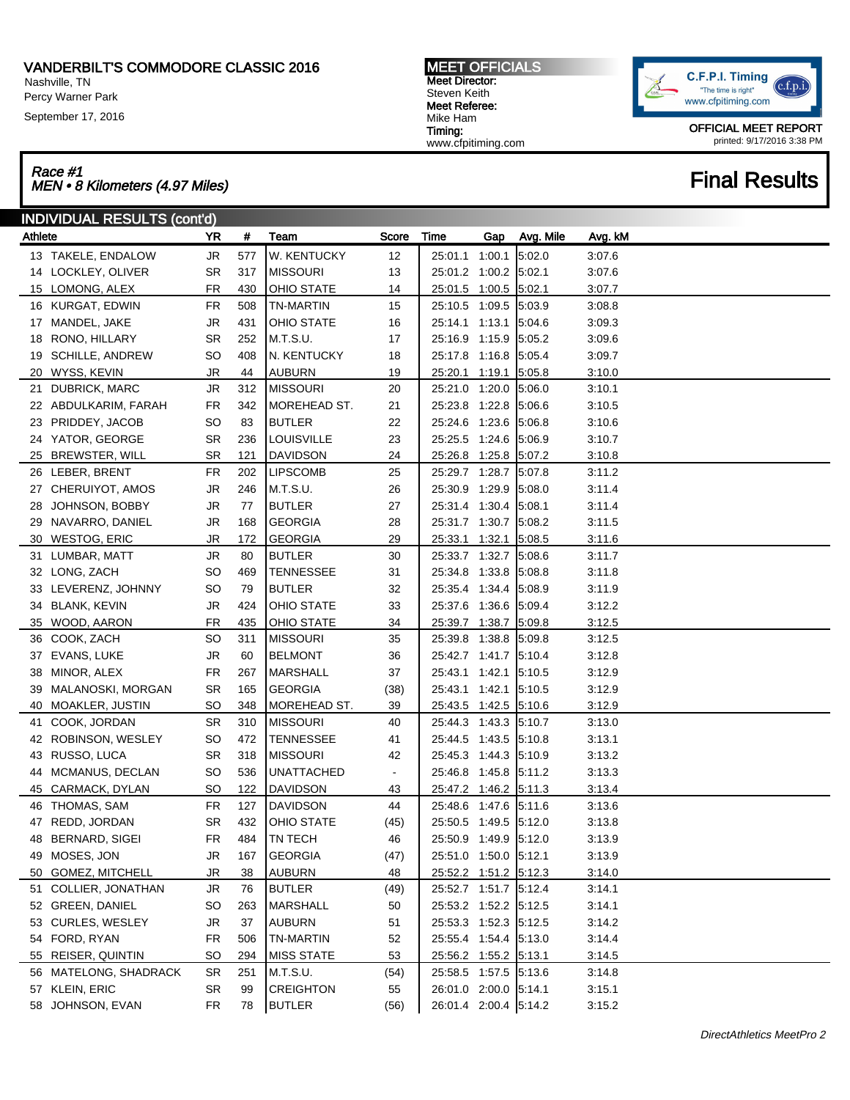Nashville, TN Percy Warner Park

September 17, 2016

MEET OFFICIALS Meet Director: Steven Keith Meet Referee: Mike Ham Timing: www.cfpitiming.com



OFFICIAL MEET REPORT printed: 9/17/2016 3:38 PM

### Race #1 Race #1<br>MEN • 8 Kilometers (4.97 Miles) Final Results

|         | <b>INDIVIDUAL RESULTS (cont'd)</b> |           |            |                   |                |                       |     |           |         |  |  |
|---------|------------------------------------|-----------|------------|-------------------|----------------|-----------------------|-----|-----------|---------|--|--|
| Athlete |                                    | YR        | $\pmb{\#}$ | Team              | Score          | Time                  | Gap | Avg. Mile | Avg. kM |  |  |
|         | 13 TAKELE, ENDALOW                 | JR        | 577        | W. KENTUCKY       | 12             | 25:01.1 1:00.1        |     | 5:02.0    | 3:07.6  |  |  |
|         | 14 LOCKLEY, OLIVER                 | <b>SR</b> | 317        | <b>MISSOURI</b>   | 13             | 25:01.2 1:00.2 5:02.1 |     |           | 3:07.6  |  |  |
|         | 15 LOMONG, ALEX                    | <b>FR</b> | 430        | <b>OHIO STATE</b> | 14             | 25:01.5 1:00.5 5:02.1 |     |           | 3:07.7  |  |  |
|         | 16 KURGAT, EDWIN                   | <b>FR</b> | 508        | <b>TN-MARTIN</b>  | 15             | 25:10.5 1:09.5 5:03.9 |     |           | 3:08.8  |  |  |
|         | 17 MANDEL, JAKE                    | JR        | 431        | <b>OHIO STATE</b> | 16             | 25:14.1 1:13.1 5:04.6 |     |           | 3:09.3  |  |  |
| 18      | RONO, HILLARY                      | <b>SR</b> | 252        | M.T.S.U.          | 17             | 25:16.9 1:15.9 5:05.2 |     |           | 3:09.6  |  |  |
|         | 19 SCHILLE, ANDREW                 | <b>SO</b> | 408        | N. KENTUCKY       | 18             | 25:17.8 1:16.8 5:05.4 |     |           | 3:09.7  |  |  |
|         | 20 WYSS, KEVIN                     | JR        | 44         | <b>AUBURN</b>     | 19             | 25:20.1 1:19.1 5:05.8 |     |           | 3:10.0  |  |  |
|         | 21 DUBRICK, MARC                   | JR        | 312        | <b>MISSOURI</b>   | 20             | 25:21.0 1:20.0 5:06.0 |     |           | 3:10.1  |  |  |
|         | 22 ABDULKARIM, FARAH               | <b>FR</b> | 342        | MOREHEAD ST.      | 21             | 25:23.8 1:22.8        |     | 5:06.6    | 3:10.5  |  |  |
|         | 23 PRIDDEY, JACOB                  | <b>SO</b> | 83         | <b>BUTLER</b>     | 22             | 25:24.6 1:23.6        |     | 5:06.8    | 3:10.6  |  |  |
|         | 24 YATOR, GEORGE                   | <b>SR</b> | 236        | <b>LOUISVILLE</b> | 23             | 25:25.5 1:24.6        |     | 5:06.9    | 3:10.7  |  |  |
|         | 25 BREWSTER, WILL                  | <b>SR</b> | 121        | <b>DAVIDSON</b>   | 24             | 25:26.8 1:25.8 5:07.2 |     |           | 3:10.8  |  |  |
|         | 26 LEBER, BRENT                    | <b>FR</b> | 202        | <b>LIPSCOMB</b>   | 25             | 25:29.7 1:28.7 5:07.8 |     |           | 3:11.2  |  |  |
|         | 27 CHERUIYOT, AMOS                 | JR        | 246        | M.T.S.U.          | 26             | 25:30.9 1:29.9        |     | 5:08.0    | 3:11.4  |  |  |
|         | 28 JOHNSON, BOBBY                  | JR        | 77         | <b>BUTLER</b>     | 27             | 25:31.4 1:30.4 5:08.1 |     |           | 3:11.4  |  |  |
|         | 29 NAVARRO, DANIEL                 | JR        | 168        | <b>GEORGIA</b>    | 28             | 25:31.7 1:30.7 5:08.2 |     |           | 3:11.5  |  |  |
|         | 30 WESTOG, ERIC                    | JR        | 172        | <b>GEORGIA</b>    | 29             | 25:33.1 1:32.1 5:08.5 |     |           | 3:11.6  |  |  |
|         | 31 LUMBAR, MATT                    | JR        | 80         | <b>BUTLER</b>     | 30             | 25:33.7 1:32.7 5:08.6 |     |           | 3:11.7  |  |  |
|         | 32 LONG, ZACH                      | <b>SO</b> | 469        | <b>TENNESSEE</b>  | 31             | 25:34.8 1:33.8        |     | 5:08.8    | 3:11.8  |  |  |
|         | 33 LEVERENZ, JOHNNY                | <b>SO</b> | 79         | <b>BUTLER</b>     | 32             | 25:35.4 1:34.4 5:08.9 |     |           | 3:11.9  |  |  |
|         | 34 BLANK, KEVIN                    | JR        | 424        | <b>OHIO STATE</b> | 33             | 25:37.6 1:36.6 5:09.4 |     |           | 3:12.2  |  |  |
|         | 35 WOOD, AARON                     | <b>FR</b> | 435        | <b>OHIO STATE</b> | 34             | 25:39.7 1:38.7 5:09.8 |     |           | 3:12.5  |  |  |
|         | 36 COOK, ZACH                      | <b>SO</b> | 311        | <b>MISSOURI</b>   | 35             | 25:39.8 1:38.8        |     | 5:09.8    | 3:12.5  |  |  |
|         | 37 EVANS, LUKE                     | JR        | 60         | <b>BELMONT</b>    | 36             | 25:42.7 1:41.7 5:10.4 |     |           | 3:12.8  |  |  |
|         | 38 MINOR, ALEX                     | <b>FR</b> | 267        | MARSHALL          | 37             | 25:43.1 1:42.1        |     | 5:10.5    | 3:12.9  |  |  |
|         | 39 MALANOSKI, MORGAN               | <b>SR</b> | 165        | <b>GEORGIA</b>    | (38)           | 25:43.1 1:42.1        |     | 5:10.5    | 3:12.9  |  |  |
|         | 40 MOAKLER, JUSTIN                 | <b>SO</b> | 348        | MOREHEAD ST.      | 39             | 25:43.5 1:42.5 5:10.6 |     |           | 3:12.9  |  |  |
|         | 41 COOK, JORDAN                    | <b>SR</b> | 310        | <b>MISSOURI</b>   | 40             | 25:44.3 1:43.3 5:10.7 |     |           | 3:13.0  |  |  |
|         | 42 ROBINSON, WESLEY                | <b>SO</b> | 472        | TENNESSEE         | 41             | 25:44.5 1:43.5 5:10.8 |     |           | 3:13.1  |  |  |
|         | 43 RUSSO, LUCA                     | <b>SR</b> | 318        | <b>MISSOURI</b>   | 42             | 25:45.3 1:44.3 5:10.9 |     |           | 3:13.2  |  |  |
|         | 44 MCMANUS, DECLAN                 | <b>SO</b> | 536        | UNATTACHED        | $\blacksquare$ | 25:46.8 1:45.8 5:11.2 |     |           | 3:13.3  |  |  |
|         | 45 CARMACK, DYLAN                  | <b>SO</b> | 122        | <b>DAVIDSON</b>   | 43             | 25:47.2 1:46.2 5:11.3 |     |           | 3:13.4  |  |  |
|         | 46 THOMAS, SAM                     | <b>FR</b> | 127        | <b>DAVIDSON</b>   | 44             | 25:48.6 1:47.6 5:11.6 |     |           | 3:13.6  |  |  |
|         | 47 REDD, JORDAN                    | <b>SR</b> | 432        | <b>OHIO STATE</b> | (45)           | 25:50.5 1:49.5 5:12.0 |     |           | 3:13.8  |  |  |
|         | 48 BERNARD, SIGEI                  | <b>FR</b> | 484        | TN TECH           | 46             | 25:50.9 1:49.9 5:12.0 |     |           | 3:13.9  |  |  |
|         | 49 MOSES, JON                      | JR        | 167        | <b>GEORGIA</b>    | (47)           | 25:51.0 1:50.0 5:12.1 |     |           | 3:13.9  |  |  |
|         | 50 GOMEZ, MITCHELL                 | JR        | 38         | <b>AUBURN</b>     | 48             | 25:52.2 1:51.2 5:12.3 |     |           | 3:14.0  |  |  |
| 51      | COLLIER, JONATHAN                  | JR        | 76         | <b>BUTLER</b>     | (49)           | 25:52.7 1:51.7 5:12.4 |     |           | 3:14.1  |  |  |
|         | 52 GREEN, DANIEL                   | SO        | 263        | <b>MARSHALL</b>   | 50             | 25:53.2 1:52.2 5:12.5 |     |           | 3:14.1  |  |  |
|         | 53 CURLES, WESLEY                  | JR        | 37         | <b>AUBURN</b>     | 51             | 25:53.3 1:52.3 5:12.5 |     |           | 3:14.2  |  |  |
|         | 54 FORD, RYAN                      | <b>FR</b> | 506        | <b>TN-MARTIN</b>  | 52             | 25:55.4 1:54.4 5:13.0 |     |           | 3:14.4  |  |  |
|         | 55 REISER, QUINTIN                 | <b>SO</b> | 294        | <b>MISS STATE</b> | 53             | 25:56.2 1:55.2 5:13.1 |     |           | 3:14.5  |  |  |
|         | 56 MATELONG, SHADRACK              | <b>SR</b> | 251        | M.T.S.U.          | (54)           | 25:58.5 1:57.5 5:13.6 |     |           | 3:14.8  |  |  |
|         | 57 KLEIN, ERIC                     | <b>SR</b> | 99         | <b>CREIGHTON</b>  | 55             | 26:01.0 2:00.0 5:14.1 |     |           | 3:15.1  |  |  |
|         | 58 JOHNSON, EVAN                   | FR        | 78         | <b>BUTLER</b>     | (56)           | 26:01.4 2:00.4 5:14.2 |     |           | 3:15.2  |  |  |
|         |                                    |           |            |                   |                |                       |     |           |         |  |  |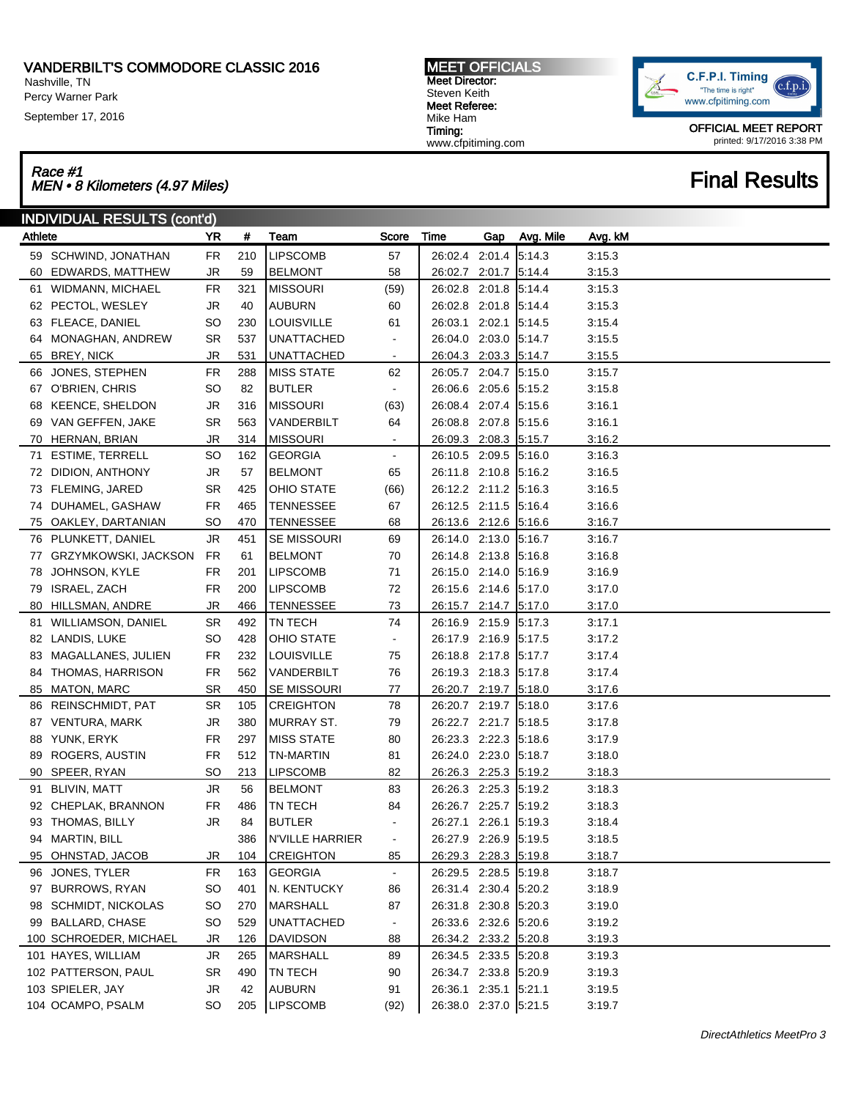Nashville, TN Percy Warner Park

September 17, 2016

### Race #1 Race #1<br>MEN • 8 Kilometers (4.97 Miles) Final Results

MEET OFFICIALS Meet Director: Steven Keith Meet Referee: Mike Ham Timing: www.cfpitiming.com



OFFICIAL MEET REPORT printed: 9/17/2016 3:38 PM

| <b>INDIVIDUAL RESULTS (cont'd)</b> |                         |           |     |                    |                |                       |     |           |         |  |
|------------------------------------|-------------------------|-----------|-----|--------------------|----------------|-----------------------|-----|-----------|---------|--|
| Athlete                            |                         | YR        | #   | Team               | Score          | Time                  | Gap | Avg. Mile | Avg. kM |  |
|                                    | 59 SCHWIND, JONATHAN    | <b>FR</b> | 210 | <b>LIPSCOMB</b>    | 57             | 26:02.4 2:01.4        |     | 5:14.3    | 3:15.3  |  |
|                                    | 60 EDWARDS, MATTHEW     | JR        | 59  | <b>BELMONT</b>     | 58             | 26:02.7 2:01.7 5:14.4 |     |           | 3:15.3  |  |
|                                    | 61 WIDMANN, MICHAEL     | FR.       | 321 | <b>MISSOURI</b>    | (59)           | 26:02.8 2:01.8 5:14.4 |     |           | 3:15.3  |  |
|                                    | 62 PECTOL, WESLEY       | JR        | 40  | <b>AUBURN</b>      | 60             | 26:02.8 2:01.8 5:14.4 |     |           | 3:15.3  |  |
|                                    | 63 FLEACE, DANIEL       | SO        | 230 | <b>LOUISVILLE</b>  | 61             | 26:03.1 2:02.1 5:14.5 |     |           | 3.15.4  |  |
|                                    | 64 MONAGHAN, ANDREW     | <b>SR</b> | 537 | <b>UNATTACHED</b>  | $\blacksquare$ | 26:04.0 2:03.0 5:14.7 |     |           | 3:15.5  |  |
|                                    | 65 BREY, NICK           | JR        | 531 | <b>UNATTACHED</b>  | $\blacksquare$ | 26:04.3 2:03.3 5:14.7 |     |           | 3:15.5  |  |
|                                    | 66 JONES, STEPHEN       | FR.       | 288 | <b>MISS STATE</b>  | 62             | 26:05.7 2:04.7 5:15.0 |     |           | 3:15.7  |  |
|                                    | 67 O'BRIEN, CHRIS       | SO        | 82  | <b>BUTLER</b>      | $\blacksquare$ | 26:06.6 2:05.6 5:15.2 |     |           | 3:15.8  |  |
|                                    | 68 KEENCE, SHELDON      | JR        | 316 | <b>MISSOURI</b>    | (63)           | 26:08.4 2:07.4 5:15.6 |     |           | 3:16.1  |  |
|                                    | 69 VAN GEFFEN, JAKE     | <b>SR</b> | 563 | VANDERBILT         | 64             | 26:08.8 2:07.8 5:15.6 |     |           | 3:16.1  |  |
|                                    | 70 HERNAN, BRIAN        | JR        | 314 | <b>MISSOURI</b>    | $\blacksquare$ | 26:09.3 2:08.3 5:15.7 |     |           | 3:16.2  |  |
| 71                                 | ESTIME, TERRELL         | <b>SO</b> | 162 | <b>GEORGIA</b>     | $\blacksquare$ | 26:10.5 2:09.5 5:16.0 |     |           | 3:16.3  |  |
|                                    | 72 DIDION, ANTHONY      | JR        | 57  | <b>BELMONT</b>     | 65             | 26:11.8 2:10.8 5:16.2 |     |           | 3:16.5  |  |
|                                    | 73 FLEMING, JARED       | <b>SR</b> | 425 | OHIO STATE         | (66)           | 26:12.2 2:11.2 5:16.3 |     |           | 3:16.5  |  |
|                                    | 74 DUHAMEL, GASHAW      | <b>FR</b> | 465 | <b>TENNESSEE</b>   | 67             | 26:12.5 2:11.5 5:16.4 |     |           | 3:16.6  |  |
|                                    | 75 OAKLEY, DARTANIAN    | <b>SO</b> | 470 | <b>TENNESSEE</b>   | 68             | 26:13.6 2:12.6 5:16.6 |     |           | 3:16.7  |  |
|                                    | 76 PLUNKETT, DANIEL     | JR        | 451 | <b>SE MISSOURI</b> | 69             | 26:14.0 2:13.0 5:16.7 |     |           | 3:16.7  |  |
|                                    | 77 GRZYMKOWSKI, JACKSON | FR.       | 61  | <b>BELMONT</b>     | 70             | 26:14.8 2:13.8        |     | 5:16.8    | 3:16.8  |  |
|                                    | 78 JOHNSON, KYLE        | FR.       | 201 | <b>LIPSCOMB</b>    | 71             | 26:15.0 2:14.0        |     | 5:16.9    | 3:16.9  |  |
|                                    | 79 ISRAEL, ZACH         | <b>FR</b> | 200 | <b>LIPSCOMB</b>    | 72             | 26:15.6 2:14.6        |     | 5:17.0    | 3:17.0  |  |
|                                    | 80 HILLSMAN, ANDRE      | JR        | 466 | <b>TENNESSEE</b>   | 73             | 26:15.7 2:14.7 5:17.0 |     |           | 3:17.0  |  |
|                                    | 81 WILLIAMSON, DANIEL   | <b>SR</b> | 492 | <b>TN TECH</b>     | 74             | 26:16.9 2:15.9        |     | 5:17.3    | 3:17.1  |  |
|                                    | 82 LANDIS, LUKE         | SO        | 428 | OHIO STATE         | $\blacksquare$ | 26:17.9 2:16.9        |     | 5:17.5    | 3:17.2  |  |
|                                    | 83 MAGALLANES, JULIEN   | <b>FR</b> | 232 | <b>LOUISVILLE</b>  | 75             | 26:18.8 2:17.8        |     | 5:17.7    | 3:17.4  |  |
|                                    | 84 THOMAS, HARRISON     | FR.       | 562 | VANDERBILT         | 76             | 26:19.3 2:18.3 5:17.8 |     |           | 3:17.4  |  |
|                                    | 85 MATON, MARC          | <b>SR</b> | 450 | <b>SE MISSOURI</b> | 77             | 26:20.7 2:19.7 5:18.0 |     |           | 3:17.6  |  |
|                                    | 86 REINSCHMIDT, PAT     | <b>SR</b> | 105 | <b>CREIGHTON</b>   | 78             | 26:20.7 2:19.7 5:18.0 |     |           | 3:17.6  |  |
|                                    | 87 VENTURA, MARK        | JR        | 380 | MURRAY ST.         | 79             | 26:22.7 2:21.7 5:18.5 |     |           | 3:17.8  |  |
|                                    | 88 YUNK, ERYK           | <b>FR</b> | 297 | <b>MISS STATE</b>  | 80             | 26:23.3 2:22.3        |     | 5:18.6    | 3.17.9  |  |
|                                    | 89 ROGERS, AUSTIN       | <b>FR</b> | 512 | <b>TN-MARTIN</b>   | 81             | 26:24.0 2:23.0        |     | 5:18.7    | 3:18.0  |  |
|                                    | 90 SPEER, RYAN          | <b>SO</b> | 213 | <b>LIPSCOMB</b>    | 82             | 26:26.3 2:25.3 5:19.2 |     |           | 3:18.3  |  |
|                                    | 91 BLIVIN, MATT         | JR        | 56  | <b>BELMONT</b>     | 83             | 26:26.3 2:25.3        |     | 5:19.2    | 3:18.3  |  |
|                                    | 92 CHEPLAK, BRANNON     | <b>FR</b> | 486 | <b>TN TECH</b>     | 84             | 26:26.7 2:25.7        |     | 5:19.2    | 3:18.3  |  |
|                                    | 93 THOMAS, BILLY        | JR        | 84  | <b>BUTLER</b>      | ÷,             | 26:27.1 2:26.1 5:19.3 |     |           | 3:18.4  |  |
|                                    | 94 MARTIN, BILL         |           | 386 | N'VILLE HARRIER    | $\blacksquare$ | 26:27.9 2:26.9 5:19.5 |     |           | 3:18.5  |  |
|                                    | 95 OHNSTAD, JACOB       | JR        | 104 | <b>CREIGHTON</b>   | 85             | 26:29.3 2:28.3 5:19.8 |     |           | 3:18.7  |  |
|                                    | 96 JONES, TYLER         | FR.       | 163 | <b>GEORGIA</b>     | $\blacksquare$ | 26:29.5 2:28.5 5:19.8 |     |           | 3:18.7  |  |
|                                    | 97 BURROWS, RYAN        | SO        | 401 | N. KENTUCKY        | 86             | 26:31.4 2:30.4 5:20.2 |     |           | 3:18.9  |  |
|                                    | 98 SCHMIDT, NICKOLAS    | SO        | 270 | <b>MARSHALL</b>    | 87             | 26:31.8 2:30.8 5:20.3 |     |           | 3:19.0  |  |
|                                    | 99 BALLARD, CHASE       | <b>SO</b> | 529 | <b>UNATTACHED</b>  | $\blacksquare$ | 26:33.6 2:32.6 5:20.6 |     |           | 3:19.2  |  |
|                                    | 100 SCHROEDER, MICHAEL  | JR        | 126 | <b>DAVIDSON</b>    | 88             | 26:34.2 2:33.2 5:20.8 |     |           | 3:19.3  |  |
|                                    | 101 HAYES, WILLIAM      | JR        | 265 | <b>MARSHALL</b>    | 89             | 26:34.5 2:33.5 5:20.8 |     |           | 3:19.3  |  |
|                                    | 102 PATTERSON, PAUL     | SR        | 490 | <b>TN TECH</b>     | 90             | 26:34.7 2:33.8 5:20.9 |     |           | 3:19.3  |  |
|                                    | 103 SPIELER, JAY        | JR        | 42  | <b>AUBURN</b>      | 91             | 26:36.1 2:35.1 5:21.1 |     |           | 3:19.5  |  |
|                                    | 104 OCAMPO, PSALM       | SO        | 205 | LIPSCOMB           | (92)           | 26:38.0 2:37.0 5:21.5 |     |           | 3:19.7  |  |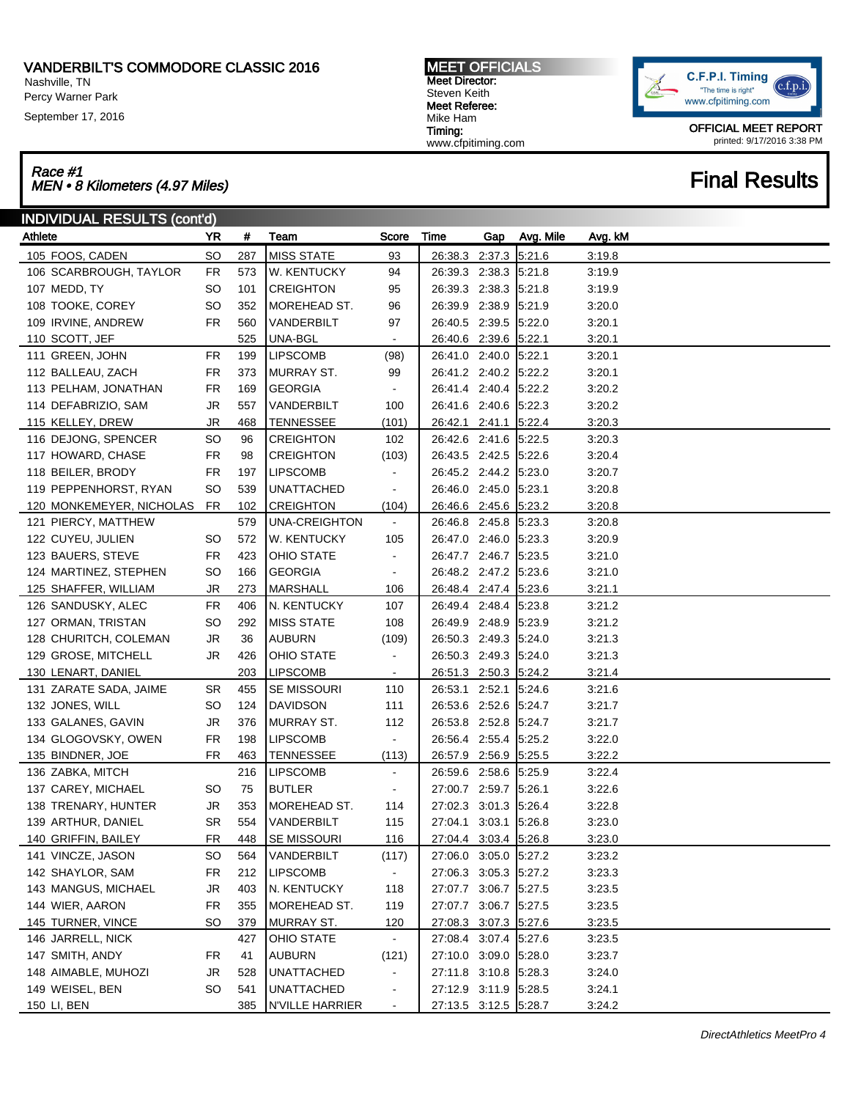Nashville, TN Percy Warner Park

September 17, 2016

# Race #1<br>MEN • 8 Kilometers (4.97 Miles) Final Results

MEET OFFICIALS Meet Director: Steven Keith Meet Referee: Mike Ham Timing: www.cfpitiming.com



OFFICIAL MEET REPORT printed: 9/17/2016 3:38 PM

| <b>INDIVIDUAL RESULTS (cont'd)</b> |           |     |                     |                          |                       |     |           |         |  |  |
|------------------------------------|-----------|-----|---------------------|--------------------------|-----------------------|-----|-----------|---------|--|--|
| Athlete                            | YR        | #   | Team                | Score                    | Time                  | Gap | Avg. Mile | Avg. kM |  |  |
| 105 FOOS, CADEN                    | <b>SO</b> | 287 | <b>MISS STATE</b>   | 93                       | 26:38.3 2:37.3 5:21.6 |     |           | 3:19.8  |  |  |
| 106 SCARBROUGH, TAYLOR             | <b>FR</b> | 573 | <b>W. KENTUCKY</b>  | 94                       | 26:39.3 2:38.3 5:21.8 |     |           | 3:19.9  |  |  |
| 107 MEDD, TY                       | SO.       | 101 | <b>CREIGHTON</b>    | 95                       | 26:39.3 2:38.3 5:21.8 |     |           | 3:19.9  |  |  |
| 108 TOOKE, COREY                   | SO        | 352 | <b>MOREHEAD ST.</b> | 96                       | 26:39.9 2:38.9 5:21.9 |     |           | 3:20.0  |  |  |
| 109 IRVINE, ANDREW                 | FR        | 560 | VANDERBILT          | 97                       | 26:40.5 2:39.5 5:22.0 |     |           | 3:20.1  |  |  |
| 110 SCOTT, JEF                     |           | 525 | UNA-BGL             | $\overline{\phantom{a}}$ | 26:40.6 2:39.6 5:22.1 |     |           | 3:20.1  |  |  |
| 111 GREEN, JOHN                    | FR        | 199 | <b>LIPSCOMB</b>     | (98)                     | 26:41.0 2:40.0 5:22.1 |     |           | 3:20.1  |  |  |
| 112 BALLEAU, ZACH                  | FR        | 373 | MURRAY ST.          | 99                       | 26:41.2 2:40.2 5:22.2 |     |           | 3:20.1  |  |  |
| 113 PELHAM, JONATHAN               | <b>FR</b> | 169 | <b>GEORGIA</b>      | $\blacksquare$           | 26:41.4 2:40.4 5:22.2 |     |           | 3:20.2  |  |  |
| 114 DEFABRIZIO, SAM                | JR        | 557 | VANDERBILT          | 100                      | 26:41.6 2:40.6 5:22.3 |     |           | 3:20.2  |  |  |
| 115 KELLEY, DREW                   | JR        | 468 | <b>TENNESSEE</b>    | (101)                    | 26:42.1 2:41.1 5:22.4 |     |           | 3:20.3  |  |  |
| 116 DEJONG, SPENCER                | <b>SO</b> | 96  | <b>CREIGHTON</b>    | 102                      | 26:42.6 2:41.6 5:22.5 |     |           | 3:20.3  |  |  |
| 117 HOWARD, CHASE                  | FR        | 98  | <b>CREIGHTON</b>    | (103)                    | 26:43.5 2:42.5 5:22.6 |     |           | 3:20.4  |  |  |
| 118 BEILER, BRODY                  | FR        | 197 | <b>LIPSCOMB</b>     | $\blacksquare$           | 26:45.2 2:44.2 5:23.0 |     |           | 3:20.7  |  |  |
| 119 PEPPENHORST, RYAN              | SO.       | 539 | <b>UNATTACHED</b>   | $\blacksquare$           | 26:46.0 2:45.0 5:23.1 |     |           | 3:20.8  |  |  |
| 120 MONKEMEYER, NICHOLAS           | FR        | 102 | <b>CREIGHTON</b>    | (104)                    | 26:46.6 2:45.6 5:23.2 |     |           | 3:20.8  |  |  |
| 121 PIERCY, MATTHEW                |           | 579 | UNA-CREIGHTON       | $\sim$                   | 26:46.8 2:45.8 5:23.3 |     |           | 3:20.8  |  |  |
| 122 CUYEU, JULIEN                  | SO.       | 572 | W. KENTUCKY         | 105                      | 26:47.0 2:46.0 5:23.3 |     |           | 3:20.9  |  |  |
| 123 BAUERS, STEVE                  | <b>FR</b> | 423 | <b>OHIO STATE</b>   | $\blacksquare$           | 26:47.7 2:46.7 5:23.5 |     |           | 3:21.0  |  |  |
| 124 MARTINEZ, STEPHEN              | SO        | 166 | <b>GEORGIA</b>      | $\blacksquare$           | 26:48.2 2:47.2 5:23.6 |     |           | 3:21.0  |  |  |
| 125 SHAFFER, WILLIAM               | JR        | 273 | <b>MARSHALL</b>     | 106                      | 26:48.4 2:47.4 5:23.6 |     |           | 3:21.1  |  |  |
| 126 SANDUSKY, ALEC                 | <b>FR</b> | 406 | N. KENTUCKY         | 107                      | 26:49.4 2:48.4 5:23.8 |     |           | 3:21.2  |  |  |
| 127 ORMAN, TRISTAN                 | SO.       | 292 | <b>MISS STATE</b>   | 108                      | 26:49.9 2:48.9 5:23.9 |     |           | 3:21.2  |  |  |
| 128 CHURITCH, COLEMAN              | JR        | 36  | AUBURN              | (109)                    | 26:50.3 2:49.3 5:24.0 |     |           | 3:21.3  |  |  |
| 129 GROSE, MITCHELL                | JR        | 426 | <b>OHIO STATE</b>   | $\blacksquare$           | 26:50.3 2:49.3 5:24.0 |     |           | 3:21.3  |  |  |
| 130 LENART, DANIEL                 |           | 203 | <b>LIPSCOMB</b>     | $\blacksquare$           | 26:51.3 2:50.3 5:24.2 |     |           | 3:21.4  |  |  |
| 131 ZARATE SADA, JAIME             | <b>SR</b> | 455 | <b>SE MISSOURI</b>  | 110                      | 26:53.1 2:52.1 5:24.6 |     |           | 3:21.6  |  |  |
| 132 JONES, WILL                    | SO.       | 124 | DAVIDSON            | 111                      | 26:53.6 2:52.6 5:24.7 |     |           | 3:21.7  |  |  |
| 133 GALANES, GAVIN                 | JR        | 376 | MURRAY ST.          | 112                      | 26:53.8 2:52.8 5:24.7 |     |           | 3:21.7  |  |  |
| 134 GLOGOVSKY, OWEN                | FR        | 198 | <b>LIPSCOMB</b>     | $\blacksquare$           | 26:56.4 2:55.4 5:25.2 |     |           | 3:22.0  |  |  |
| 135 BINDNER, JOE                   | <b>FR</b> | 463 | <b>TENNESSEE</b>    | (113)                    | 26:57.9 2:56.9 5:25.5 |     |           | 3:22.2  |  |  |
| 136 ZABKA, MITCH                   |           | 216 | <b>LIPSCOMB</b>     | $\blacksquare$           | 26:59.6 2:58.6 5:25.9 |     |           | 3:22.4  |  |  |
| 137 CAREY, MICHAEL                 | SO.       | 75  | <b>BUTLER</b>       | $\blacksquare$           | 27:00.7 2:59.7 5:26.1 |     |           | 3:22.6  |  |  |
| 138 TRENARY, HUNTER                | JR        | 353 | MOREHEAD ST.        | 114                      | 27:02.3 3:01.3 5:26.4 |     |           | 3:22.8  |  |  |
| 139 ARTHUR, DANIEL                 | <b>SR</b> | 554 | VANDERBILT          | 115                      | 27:04.1 3:03.1 5:26.8 |     |           | 3:23.0  |  |  |
| 140 GRIFFIN, BAILEY                | <b>FR</b> | 448 | <b>SE MISSOURI</b>  | 116                      | 27:04.4 3:03.4 5:26.8 |     |           | 3:23.0  |  |  |
| 141 VINCZE, JASON                  | <b>SO</b> | 564 | VANDERBILT          | (117)                    | 27:06.0 3:05.0 5:27.2 |     |           | 3:23.2  |  |  |
| 142 SHAYLOR, SAM                   | <b>FR</b> | 212 | <b>LIPSCOMB</b>     | $\blacksquare$           | 27:06.3 3:05.3 5:27.2 |     |           | 3:23.3  |  |  |
| 143 MANGUS, MICHAEL                | JR        | 403 | N. KENTUCKY         | 118                      | 27:07.7 3:06.7 5:27.5 |     |           | 3:23.5  |  |  |
| 144 WIER, AARON                    | <b>FR</b> | 355 | MOREHEAD ST.        | 119                      | 27:07.7 3:06.7 5:27.5 |     |           | 3:23.5  |  |  |
| 145 TURNER, VINCE                  | <b>SO</b> | 379 | <b>MURRAY ST.</b>   | 120                      | 27:08.3 3:07.3 5:27.6 |     |           | 3:23.5  |  |  |
| 146 JARRELL, NICK                  |           | 427 | OHIO STATE          | $\sim$                   | 27:08.4 3:07.4 5:27.6 |     |           | 3:23.5  |  |  |
| 147 SMITH, ANDY                    | FR        | 41  | <b>AUBURN</b>       | (121)                    | 27:10.0 3:09.0 5:28.0 |     |           | 3:23.7  |  |  |
| 148 AIMABLE, MUHOZI                | JR        | 528 | <b>UNATTACHED</b>   | $\blacksquare$           | 27:11.8 3:10.8 5:28.3 |     |           | 3:24.0  |  |  |
| 149 WEISEL, BEN                    | SO        | 541 | <b>UNATTACHED</b>   | $\blacksquare$           | 27:12.9 3:11.9 5:28.5 |     |           | 3:24.1  |  |  |
| 150 LI, BEN                        |           | 385 | N'VILLE HARRIER     | $\blacksquare$           | 27:13.5 3:12.5 5:28.7 |     |           | 3:24.2  |  |  |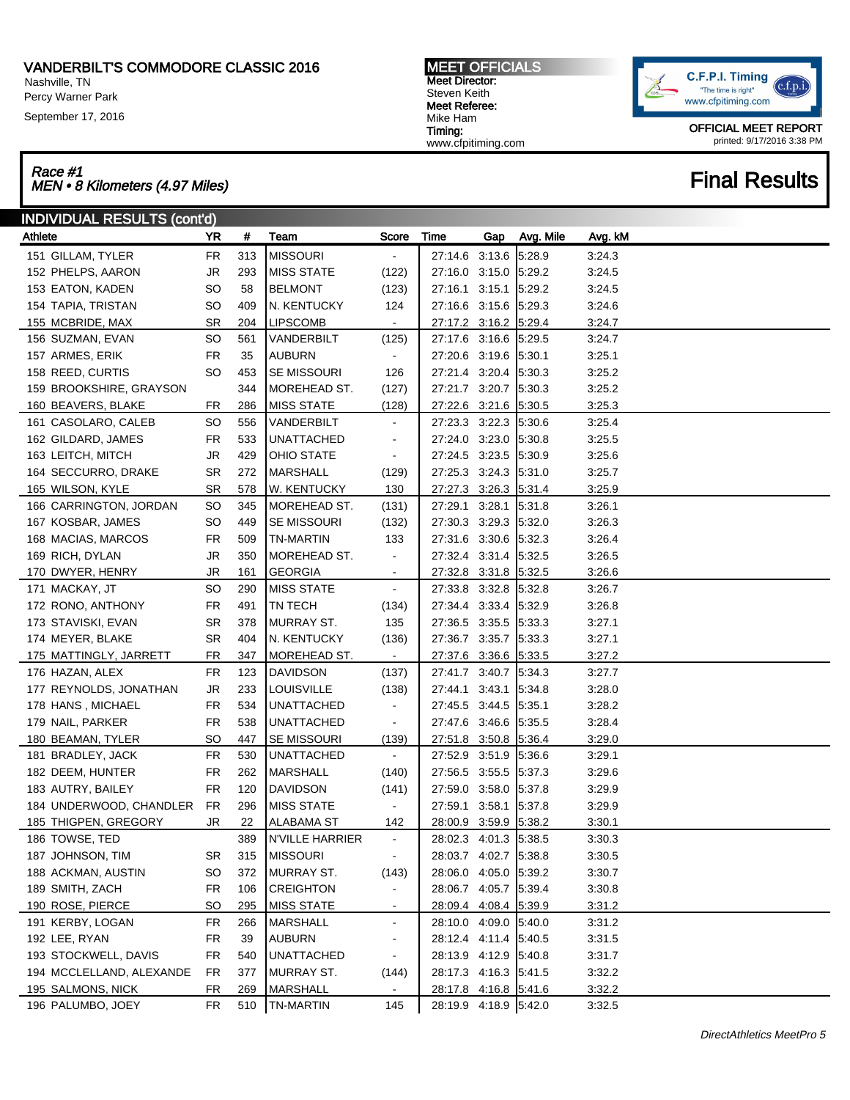Nashville, TN Percy Warner Park

September 17, 2016

| <b>MEET OFFICIALS</b> |
|-----------------------|
| <b>Meet Director:</b> |
| Steven Keith          |
| Meet Referee:         |
| Mike Ham              |
| Timing:               |
| www.cfpitiming.com    |



OFFICIAL MEET REPORT printed: 9/17/2016 3:38 PM

## Race #1<br>MEN • 8 Kilometers (4.97 Miles) Final Results

| <b>INDIVIDUAL RESULTS (cont'd)</b> |           |     |                        |                          |                       |     |           |         |  |  |
|------------------------------------|-----------|-----|------------------------|--------------------------|-----------------------|-----|-----------|---------|--|--|
| Athlete                            | YR        | #   | Team                   | Score                    | Time                  | Gap | Avg. Mile | Avg. kM |  |  |
| 151 GILLAM, TYLER                  | <b>FR</b> | 313 | <b>MISSOURI</b>        | $\blacksquare$           | 27:14.6 3:13.6        |     | 5.28.9    | 3:24.3  |  |  |
| 152 PHELPS, AARON                  | JR        | 293 | <b>MISS STATE</b>      | (122)                    | 27:16.0 3:15.0 5:29.2 |     |           | 3:24.5  |  |  |
| 153 EATON, KADEN                   | SO        | 58  | <b>BELMONT</b>         | (123)                    | 27:16.1 3:15.1 5:29.2 |     |           | 3:24.5  |  |  |
| 154 TAPIA, TRISTAN                 | SO        | 409 | N. KENTUCKY            | 124                      | 27:16.6 3:15.6 5:29.3 |     |           | 3:24.6  |  |  |
| 155 MCBRIDE, MAX                   | <b>SR</b> | 204 | <b>LIPSCOMB</b>        | $\blacksquare$           | 27:17.2 3:16.2 5:29.4 |     |           | 3:24.7  |  |  |
| 156 SUZMAN, EVAN                   | <b>SO</b> | 561 | VANDERBILT             | (125)                    | 27:17.6 3:16.6 5:29.5 |     |           | 3:24.7  |  |  |
| 157 ARMES, ERIK                    | FR        | 35  | AUBURN                 | $\sim$                   | 27:20.6 3:19.6 5:30.1 |     |           | 3:25.1  |  |  |
| 158 REED, CURTIS                   | <b>SO</b> | 453 | <b>SE MISSOURI</b>     | 126                      | 27:21.4 3:20.4 5:30.3 |     |           | 3:25.2  |  |  |
| 159 BROOKSHIRE, GRAYSON            |           | 344 | MOREHEAD ST.           | (127)                    | 27:21.7 3:20.7 5:30.3 |     |           | 3:25.2  |  |  |
| 160 BEAVERS, BLAKE                 | FR        | 286 | <b>MISS STATE</b>      | (128)                    | 27:22.6 3:21.6 5:30.5 |     |           | 3:25.3  |  |  |
| 161 CASOLARO, CALEB                | <b>SO</b> | 556 | VANDERBILT             | $\blacksquare$           | 27:23.3 3:22.3 5:30.6 |     |           | 3:25.4  |  |  |
| 162 GILDARD, JAMES                 | FR        | 533 | <b>UNATTACHED</b>      | $\blacksquare$           | 27:24.0 3:23.0 5:30.8 |     |           | 3:25.5  |  |  |
| 163 LEITCH, MITCH                  | JR        | 429 | OHIO STATE             | $\blacksquare$           | 27:24.5 3:23.5 5:30.9 |     |           | 3:25.6  |  |  |
| 164 SECCURRO, DRAKE                | <b>SR</b> | 272 | <b>MARSHALL</b>        | (129)                    | 27:25.3 3:24.3 5:31.0 |     |           | 3:25.7  |  |  |
| 165 WILSON, KYLE                   | <b>SR</b> | 578 | W. KENTUCKY            | 130                      | 27:27.3 3:26.3 5:31.4 |     |           | 3:25.9  |  |  |
| 166 CARRINGTON, JORDAN             | <b>SO</b> | 345 | MOREHEAD ST.           | (131)                    | 27:29.1 3:28.1 5:31.8 |     |           | 3:26.1  |  |  |
| 167 KOSBAR, JAMES                  | SO        | 449 | <b>SE MISSOURI</b>     | (132)                    | 27:30.3 3:29.3 5:32.0 |     |           | 3:26.3  |  |  |
| 168 MACIAS, MARCOS                 | FR        | 509 | TN-MARTIN              | 133                      | 27:31.6 3:30.6 5:32.3 |     |           | 3:26.4  |  |  |
| 169 RICH, DYLAN                    | JR        | 350 | MOREHEAD ST.           | $\blacksquare$           | 27:32.4 3:31.4 5:32.5 |     |           | 3:26.5  |  |  |
| 170 DWYER, HENRY                   | <b>JR</b> | 161 | <b>GEORGIA</b>         | $\blacksquare$           | 27:32.8 3:31.8 5:32.5 |     |           | 3:26.6  |  |  |
| 171 MACKAY, JT                     | <b>SO</b> | 290 | <b>MISS STATE</b>      | $\blacksquare$           | 27:33.8 3:32.8 5:32.8 |     |           | 3:26.7  |  |  |
| 172 RONO, ANTHONY                  | FR        | 491 | TN TECH                | (134)                    | 27:34.4 3:33.4 5:32.9 |     |           | 3:26.8  |  |  |
| 173 STAVISKI, EVAN                 | <b>SR</b> | 378 | MURRAY ST.             | 135                      | 27:36.5 3:35.5 5:33.3 |     |           | 3:27.1  |  |  |
| 174 MEYER, BLAKE                   | <b>SR</b> | 404 | N. KENTUCKY            | (136)                    | 27:36.7 3:35.7 5:33.3 |     |           | 3:27.1  |  |  |
| 175 MATTINGLY, JARRETT             | FR        | 347 | MOREHEAD ST.           | $\blacksquare$           | 27:37.6 3:36.6 5:33.5 |     |           | 3:27.2  |  |  |
| 176 HAZAN, ALEX                    | <b>FR</b> | 123 | <b>DAVIDSON</b>        | (137)                    | 27:41.7 3:40.7 5:34.3 |     |           | 3:27.7  |  |  |
| 177 REYNOLDS, JONATHAN             | JR        | 233 | <b>LOUISVILLE</b>      | (138)                    | 27:44.1 3:43.1 5:34.8 |     |           | 3:28.0  |  |  |
| 178 HANS, MICHAEL                  | FR        | 534 | <b>UNATTACHED</b>      | $\blacksquare$           | 27:45.5 3:44.5 5:35.1 |     |           | 3:28.2  |  |  |
| 179 NAIL, PARKER                   | FR        | 538 | <b>UNATTACHED</b>      | $\sim$                   | 27:47.6 3:46.6 5:35.5 |     |           | 3:28.4  |  |  |
| 180 BEAMAN, TYLER                  | <b>SO</b> | 447 | SE MISSOURI            | (139)                    | 27:51.8 3:50.8 5:36.4 |     |           | 3:29.0  |  |  |
| 181 BRADLEY, JACK                  | <b>FR</b> | 530 | <b>UNATTACHED</b>      | $\sim$                   | 27:52.9 3:51.9 5:36.6 |     |           | 3:29.1  |  |  |
| 182 DEEM, HUNTER                   | FR        | 262 | MARSHALL               | (140)                    | 27:56.5 3:55.5 5:37.3 |     |           | 3:29.6  |  |  |
| 183 AUTRY, BAILEY                  | <b>FR</b> | 120 | DAVIDSON               | (141)                    | 27:59.0 3:58.0 5:37.8 |     |           | 3:29.9  |  |  |
| 184 UNDERWOOD, CHANDLER            | FR        | 296 | MISS STATE             | $\blacksquare$           | 27:59.1 3:58.1 5:37.8 |     |           | 3:29.9  |  |  |
| 185 THIGPEN, GREGORY               | JR        | 22  | <b>ALABAMA ST</b>      | 142                      | 28:00.9 3:59.9 5:38.2 |     |           | 3:30.1  |  |  |
| 186 TOWSE, TED                     |           | 389 | <b>N'VILLE HARRIER</b> | $\blacksquare$           | 28:02.3 4:01.3 5:38.5 |     |           | 3:30.3  |  |  |
| 187 JOHNSON, TIM                   | SR        | 315 | MISSOURI               | ۰                        | 28:03.7 4:02.7 5:38.8 |     |           | 3:30.5  |  |  |
| 188 ACKMAN, AUSTIN                 | SO        | 372 | <b>MURRAY ST.</b>      | (143)                    | 28:06.0 4:05.0 5:39.2 |     |           | 3:30.7  |  |  |
| 189 SMITH, ZACH                    | <b>FR</b> | 106 | <b>CREIGHTON</b>       | $\sim$                   | 28:06.7 4:05.7 5:39.4 |     |           | 3:30.8  |  |  |
| 190 ROSE, PIERCE                   | <b>SO</b> | 295 | <b>MISS STATE</b>      | $\overline{\phantom{a}}$ | 28:09.4 4:08.4 5:39.9 |     |           | 3:31.2  |  |  |
| 191 KERBY, LOGAN                   | <b>FR</b> | 266 | <b>MARSHALL</b>        | $\blacksquare$           | 28:10.0 4:09.0 5:40.0 |     |           | 3:31.2  |  |  |
| 192 LEE, RYAN                      | <b>FR</b> | 39  | <b>AUBURN</b>          | $\blacksquare$           | 28:12.4 4:11.4 5:40.5 |     |           | 3:31.5  |  |  |
| 193 STOCKWELL, DAVIS               | <b>FR</b> | 540 | <b>UNATTACHED</b>      | $\sim$                   | 28:13.9 4:12.9 5:40.8 |     |           | 3:31.7  |  |  |
| 194 MCCLELLAND, ALEXANDE           | FR.       | 377 | <b>MURRAY ST.</b>      | (144)                    | 28:17.3 4:16.3 5:41.5 |     |           | 3:32.2  |  |  |
| 195 SALMONS, NICK                  | <b>FR</b> | 269 | <b>MARSHALL</b>        | $\sim$                   | 28:17.8 4:16.8 5:41.6 |     |           | 3:32.2  |  |  |
| 196 PALUMBO, JOEY                  | <b>FR</b> |     | 510   TN-MARTIN        | 145                      | 28:19.9 4:18.9 5:42.0 |     |           | 3:32.5  |  |  |